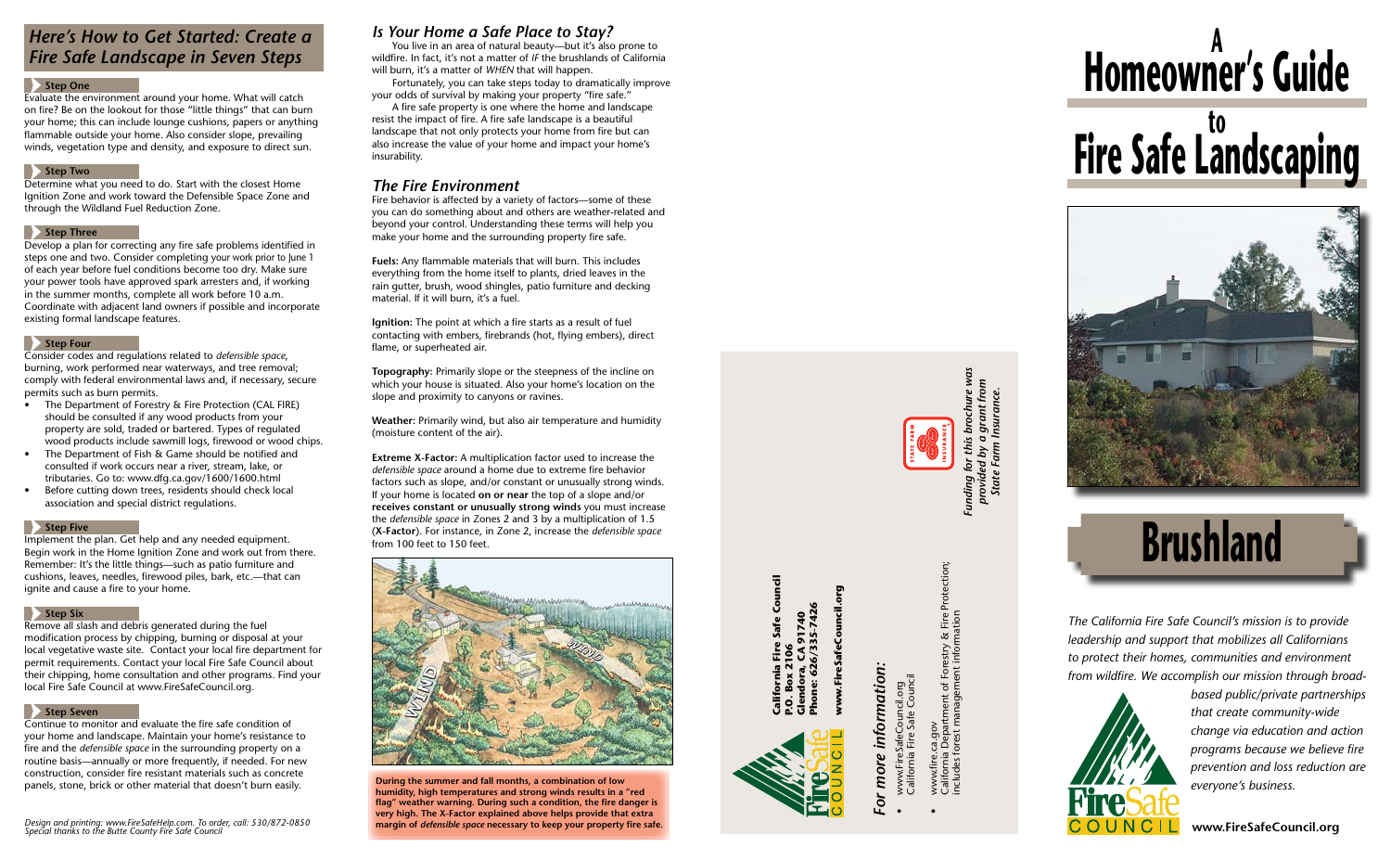### *Is Your Home a Safe Place to Stay?*

 You live in an area of natural beauty—but it's also prone to wildfire. In fact, it's not a matter of *if* the brushlands of California will burn, it's a matter of *when* that will happen.

 Fortunately, you can take steps today to dramatically improve your odds of survival by making your property "fire safe."

 A fire safe property is one where the home and landscape resist the impact of fire. A fire safe landscape is a beautiful landscape that not only protects your home from fire but can also increase the value of your home and impact your home's insurability.

## *The Fire Environment*

Fire behavior is affected by a variety of factors—some of these you can do something about and others are weather-related and beyond your control. Understanding these terms will help you make your home and the surrounding property fire safe.

**Fuels:** Any flammable materials that will burn. This includes everything from the home itself to plants, dried leaves in the rain gutter, brush, wood shingles, patio furniture and decking material. If it will burn, it's a fuel.

# **Homeowner's Guide <sup>A</sup> Fire Safe Landscaping**



*For more information:* information more

- www.FireSafeCouncil.org<br>California Fire Safe Council California Fire Safe Council • www.FireSafeCouncil.org
- California Department of Forestry & Fire Protection; www.fire.ca.gov<br>California Department of Forestry & Fire I<br>includes forest management information • www.fire.ca.gov

**Ignition:** The point at which a fire starts as a result of fuel contacting with embers, firebrands (hot, flying embers), direct flame, or superheated air.

**Topography:** Primarily slope or the steepness of the incline on which your house is situated. Also your home's location on the slope and proximity to canyons or ravines.

**Weather:** Primarily wind, but also air temperature and humidity (moisture content of the air).

**Extreme X-Factor:** A multiplication factor used to increase the *defensible space* around a home due to extreme fire behavior factors such as slope, and/or constant or unusually strong winds. If your home is located **on or near** the top of a slope and/or **receives constant or unusually strong winds** you must increase the *defensible space* in Zones 2 and 3 by a multiplication of 1.5 (**X-Factor**). For instance, in Zone 2, increase the *defensible space* from 100 feet to 150 feet.





## *Here's How to Get Started: Create a Fire Safe Landscape in Seven Steps*

#### **Step One**

Evaluate the environment around your home. What will catch on fire? Be on the lookout for those "little things" that can burn your home; this can include lounge cushions, papers or anything flammable outside your home. Also consider slope, prevailing winds, vegetation type and density, and exposure to direct sun.

#### **Step Two**

Determine what you need to do. Start with the closest Home Ignition Zone and work toward the Defensible Space Zone and through the Wildland Fuel Reduction Zone.

#### **Step Three**

www.FireSafeCouncil.org **www.FireSafeCouncil.org Phone: 626/335-7426 Glendora, CA 91740**

*Funding for this brochure was provided by a grant from State Farm Insurance.* provided by a grant fr<br>State Farm Insurance for this broch Funding

Develop a plan for correcting any fire safe problems identified in steps one and two. Consider completing your work prior to June 1 of each year before fuel conditions become too dry. Make sure your power tools have approved spark arresters and, if working in the summer months, complete all work before 10 a.m. Coordinate with adjacent land owners if possible and incorporate existing formal landscape features.

#### **Step Four**

Consider codes and regulations related to *defensible space*, burning, work performed near waterways, and tree removal; comply with federal environmental laws and, if necessary, secure permits such as burn permits.

- • The Department of Forestry & Fire Protection (CAL FIRE) should be consulted if any wood products from your property are sold, traded or bartered. Types of regulated wood products include sawmill logs, firewood or wood chips.
- The Department of Fish & Game should be notified and consulted if work occurs near a river, stream, lake, or tributaries. Go to: www.dfg.ca.gov/1600/1600.html
- Before cutting down trees, residents should check local association and special district regulations.

#### **Step Five**

Implement the plan. Get help and any needed equipment. Begin work in the Home Ignition Zone and work out from there. Remember: It's the little things—such as patio furniture and cushions, leaves, needles, firewood piles, bark, etc.—that can ignite and cause a fire to your home.

#### **Step Six**

Remove all slash and debris generated during the fuel modification process by chipping, burning or disposal at your local vegetative waste site. Contact your local fire department for permit requirements. Contact your local Fire Safe Council about their chipping, home consultation and other programs. Find your local Fire Safe Council at www.FireSafeCouncil.org.

#### **Step Seven**

Continue to monitor and evaluate the fire safe condition of your home and landscape. Maintain your home's resistance to fire and the *defensible space* in the surrounding property on a routine basis—annually or more frequently, if needed. For new construction, consider fire resistant materials such as concrete panels, stone, brick or other material that doesn't burn easily. **During the summer and fall months, a combination of low** 

**humidity, high temperatures and strong winds results in a "red flag" weather warning. During such a condition, the fire danger is very high. The X-Factor explained above helps provide that extra margin of** *defensible space* **necessary to keep your property fire safe.** **California Fire Safe Council** ra, CA 91740<br>626/335-7426 **P.O. Box 2106**



**www.FireSafeCouncil.org**

*The California Fire Safe Council's mission is to provide leadership and support that mobilizes all Californians to protect their homes, communities and environment from wildfire. We accomplish our mission through broad-*



*based public/private partnerships that create community-wide change via education and action programs because we believe fire prevention and loss reduction are everyone's business.*

includes forest management information



Protection

*Design and printing: www. FireSafe Help.com. To order, call: 530/872-0850 Special thanks to the Butte County Fire Safe Council*